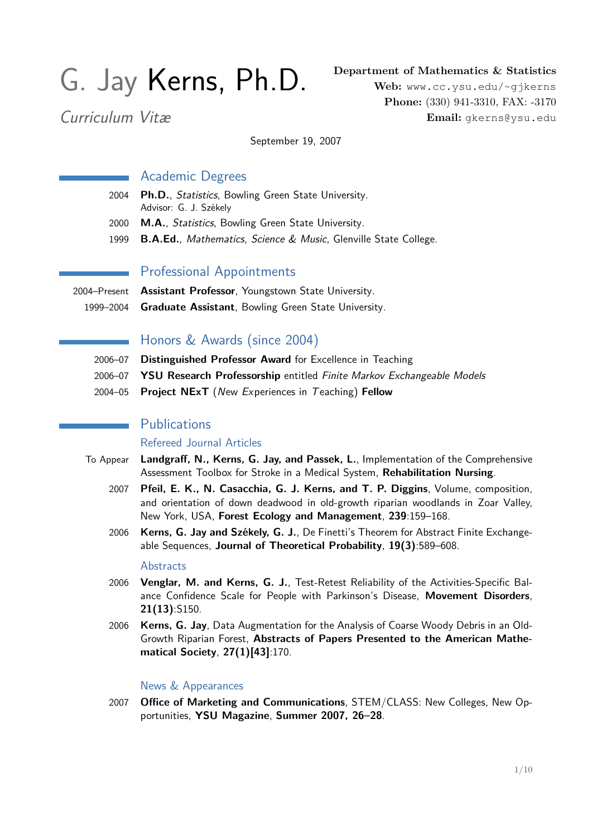# G. Jay Kerns, Ph.D.

**Department of Mathematics & Statistics**

Curriculum Vitæ

**Web:** <www.cc.ysu.edu/~gjkerns> **Phone:** (330) 941-3310, FAX: -3170 **Email:** gkerns@ysu.edu

September 19, 2007

## Academic Degrees

- 2004 **Ph.D.**, Statistics, Bowling Green State University. Advisor: G. J. Székely
- 2000 **M.A.**, Statistics, Bowling Green State University.
- 1999 **B.A.Ed.**, Mathematics, Science & Music, Glenville State College.

# Professional Appointments

2004–Present **Assistant Professor**, Youngstown State University. 1999–2004 **Graduate Assistant**, Bowling Green State University.

# Honors & Awards (since 2004)

- 2006–07 **Distinguished Professor Award** for Excellence in Teaching
- 2006–07 **YSU Research Professorship** entitled Finite Markov Exchangeable Models
- 2004–05 **Project NExT** (New Experiences in Teaching) **Fellow**

# **Publications**

#### Refereed Journal Articles

- To Appear **Landgraff, N., Kerns, G. Jay, and Passek, L.**, Implementation of the Comprehensive Assessment Toolbox for Stroke in a Medical System, **Rehabilitation Nursing**.
	- 2007 **Pfeil, E. K., N. Casacchia, G. J. Kerns, and T. P. Diggins**, Volume, composition, and orientation of down deadwood in old-growth riparian woodlands in Zoar Valley, New York, USA, **Forest Ecology and Management**, **239**:159–168.
	- 2006 **Kerns, G. Jay and Székely, G. J.**, De Finetti's Theorem for Abstract Finite Exchangeable Sequences, **Journal of Theoretical Probability**, **19(3)**:589–608.

#### **Abstracts**

- 2006 **Venglar, M. and Kerns, G. J.**, Test-Retest Reliability of the Activities-Specific Balance Confidence Scale for People with Parkinson's Disease, **Movement Disorders**, **21(13)**:S150.
- 2006 **Kerns, G. Jay**, Data Augmentation for the Analysis of Coarse Woody Debris in an Old-Growth Riparian Forest, **Abstracts of Papers Presented to the American Mathematical Society**, **27(1)[43]**:170.

#### News & Appearances

2007 **Office of Marketing and Communications**, STEM/CLASS: New Colleges, New Opportunities, **YSU Magazine**, **Summer 2007, 26–28**.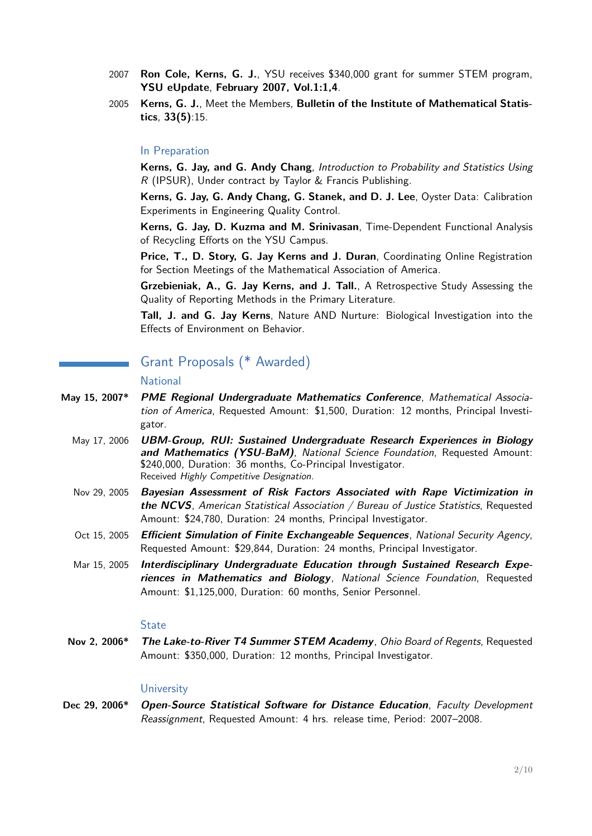- 2007 **Ron Cole, Kerns, G. J.**, YSU receives \$340,000 grant for summer STEM program, **YSU eUpdate**, **February 2007, Vol.1:1,4**.
- 2005 **Kerns, G. J.**, Meet the Members, **Bulletin of the Institute of Mathematical Statistics**, **33(5)**:15.

#### In Preparation

**Kerns, G. Jay, and G. Andy Chang**, Introduction to Probability and Statistics Using R (IPSUR), Under contract by Taylor & Francis Publishing.

**Kerns, G. Jay, G. Andy Chang, G. Stanek, and D. J. Lee**, Oyster Data: Calibration Experiments in Engineering Quality Control.

**Kerns, G. Jay, D. Kuzma and M. Srinivasan**, Time-Dependent Functional Analysis of Recycling Efforts on the YSU Campus.

**Price, T., D. Story, G. Jay Kerns and J. Duran**, Coordinating Online Registration for Section Meetings of the Mathematical Association of America.

**Grzebieniak, A., G. Jay Kerns, and J. Tall.**, A Retrospective Study Assessing the Quality of Reporting Methods in the Primary Literature.

**Tall, J. and G. Jay Kerns**, Nature AND Nurture: Biological Investigation into the Effects of Environment on Behavior.

# Grant Proposals (\* Awarded)

#### National

- **May 15, 2007\* PME Regional Undergraduate Mathematics Conference**, Mathematical Association of America, Requested Amount: \$1,500, Duration: 12 months, Principal Investigator.
	- May 17, 2006 **UBM-Group, RUI: Sustained Undergraduate Research Experiences in Biology and Mathematics (YSU-BaM)**, National Science Foundation, Requested Amount: \$240,000, Duration: 36 months, Co-Principal Investigator. Received Highly Competitive Designation.
	- Nov 29, 2005 **Bayesian Assessment of Risk Factors Associated with Rape Victimization in the NCVS**, American Statistical Association / Bureau of Justice Statistics, Requested Amount: \$24,780, Duration: 24 months, Principal Investigator.
	- Oct 15, 2005 **Efficient Simulation of Finite Exchangeable Sequences**, National Security Agency, Requested Amount: \$29,844, Duration: 24 months, Principal Investigator.
	- Mar 15, 2005 **Interdisciplinary Undergraduate Education through Sustained Research Experiences in Mathematics and Biology**, National Science Foundation, Requested Amount: \$1,125,000, Duration: 60 months, Senior Personnel.

#### **State**

**Nov 2, 2006\* The Lake-to-River T4 Summer STEM Academy**, Ohio Board of Regents, Requested Amount: \$350,000, Duration: 12 months, Principal Investigator.

#### **University**

Dec 29, 2006\* Open-Source Statistical Software for Distance Education, Faculty Development Reassignment, Requested Amount: 4 hrs. release time, Period: 2007–2008.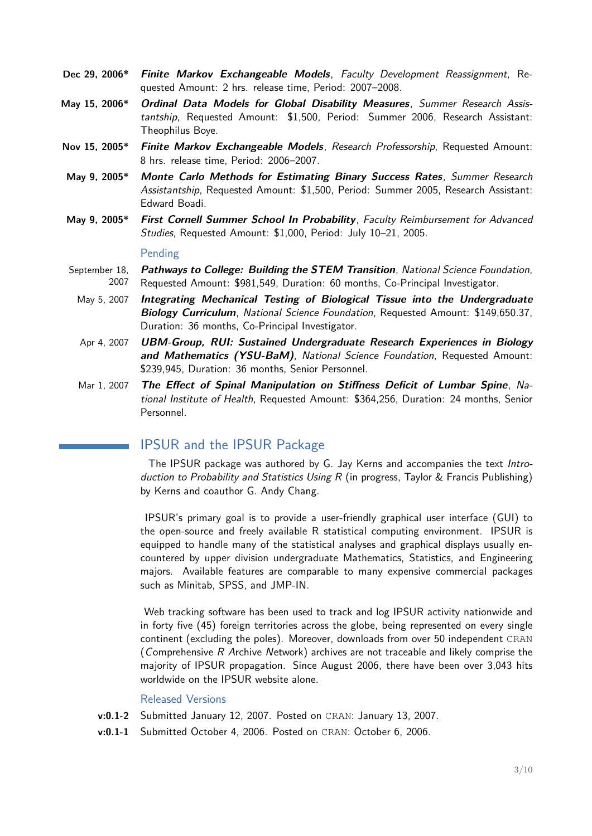- **Dec 29, 2006\* Finite Markov Exchangeable Models**, Faculty Development Reassignment, Requested Amount: 2 hrs. release time, Period: 2007–2008.
- **May 15, 2006\* Ordinal Data Models for Global Disability Measures**, Summer Research Assistantship, Requested Amount: \$1,500, Period: Summer 2006, Research Assistant: Theophilus Boye.
- **Nov 15, 2005\* Finite Markov Exchangeable Models**, Research Professorship, Requested Amount: 8 hrs. release time, Period: 2006–2007.
- **May 9, 2005\* Monte Carlo Methods for Estimating Binary Success Rates**, Summer Research Assistantship, Requested Amount: \$1,500, Period: Summer 2005, Research Assistant: Edward Boadi.
- **May 9, 2005\* First Cornell Summer School In Probability**, Faculty Reimbursement for Advanced Studies, Requested Amount: \$1,000, Period: July 10–21, 2005.

#### Pending

- September 18, 2007 **Pathways to College: Building the STEM Transition**, National Science Foundation, Requested Amount: \$981,549, Duration: 60 months, Co-Principal Investigator.
	- May 5, 2007 **Integrating Mechanical Testing of Biological Tissue into the Undergraduate Biology Curriculum**, National Science Foundation, Requested Amount: \$149,650.37, Duration: 36 months, Co-Principal Investigator.
	- Apr 4, 2007 **UBM-Group, RUI: Sustained Undergraduate Research Experiences in Biology and Mathematics (YSU-BaM)**, National Science Foundation, Requested Amount: \$239,945, Duration: 36 months, Senior Personnel.
	- Mar 1, 2007 **The Effect of Spinal Manipulation on Stiffness Deficit of Lumbar Spine**, National Institute of Health, Requested Amount: \$364,256, Duration: 24 months, Senior Personnel.

# IPSUR and the IPSUR Package

The IPSUR package was authored by G. Jay Kerns and accompanies the text Introduction to Probability and Statistics Using R (in progress, Taylor & Francis Publishing) by Kerns and coauthor G. Andy Chang.

IPSUR's primary goal is to provide a user-friendly graphical user interface (GUI) to the open-source and freely available R statistical computing environment. IPSUR is equipped to handle many of the statistical analyses and graphical displays usually encountered by upper division undergraduate Mathematics, Statistics, and Engineering majors. Available features are comparable to many expensive commercial packages such as Minitab, SPSS, and JMP-IN.

Web tracking software has been used to track and log IPSUR activity nationwide and in forty five (45) foreign territories across the globe, being represented on every single continent (excluding the poles). Moreover, downloads from over 50 independent CRAN (Comprehensive R Archive Network) archives are not traceable and likely comprise the majority of IPSUR propagation. Since August 2006, there have been over 3,043 hits worldwide on the IPSUR website alone.

#### Released Versions

- **v:0.1-2** Submitted January 12, 2007. Posted on CRAN: January 13, 2007.
- **v:0.1-1** Submitted October 4, 2006. Posted on CRAN: October 6, 2006.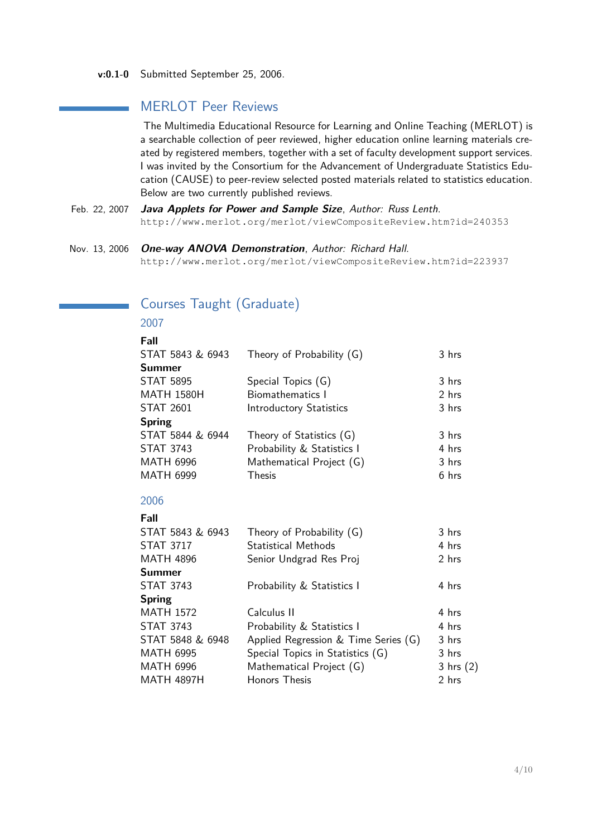**v:0.1-0** Submitted September 25, 2006.

# MERLOT Peer Reviews

The Multimedia Educational Resource for Learning and Online Teaching (MERLOT) is a searchable collection of peer reviewed, higher education online learning materials created by registered members, together with a set of faculty development support services. I was invited by the Consortium for the Advancement of Undergraduate Statistics Education (CAUSE) to peer-review selected posted materials related to statistics education. Below are two currently published reviews.

- Feb. 22, 2007 **Java Applets for Power and Sample Size**, Author: Russ Lenth. http://www.merlot.org/merlot/viewCompositeReview.htm?id=240353
- Nov. 13, 2006 **One-way ANOVA Demonstration**, Author: Richard Hall. http://www.merlot.org/merlot/viewCompositeReview.htm?id=223937

| Fall              |                                      |               |
|-------------------|--------------------------------------|---------------|
| STAT 5843 & 6943  | Theory of Probability (G)            | 3 hrs         |
| Summer            |                                      |               |
| <b>STAT 5895</b>  | Special Topics (G)                   | 3 hrs         |
| <b>MATH 1580H</b> | <b>Biomathematics I</b>              | 2 hrs         |
| <b>STAT 2601</b>  | <b>Introductory Statistics</b>       | 3 hrs         |
| <b>Spring</b>     |                                      |               |
| STAT 5844 & 6944  | Theory of Statistics (G)             | 3 hrs         |
| <b>STAT 3743</b>  | Probability & Statistics I           | 4 hrs         |
| <b>MATH 6996</b>  | Mathematical Project (G)             | 3 hrs         |
| <b>MATH 6999</b>  | <b>Thesis</b>                        | 6 hrs         |
| 2006              |                                      |               |
| Fall              |                                      |               |
| STAT 5843 & 6943  | Theory of Probability (G)            | 3 hrs         |
| <b>STAT 3717</b>  | <b>Statistical Methods</b>           | 4 hrs         |
| <b>MATH 4896</b>  | Senior Undgrad Res Proj              | 2 hrs         |
| <b>Summer</b>     |                                      |               |
| <b>STAT 3743</b>  | Probability & Statistics I           | 4 hrs         |
| <b>Spring</b>     |                                      |               |
| <b>MATH 1572</b>  | Calculus II                          | 4 hrs         |
| <b>STAT 3743</b>  | Probability & Statistics I           | 4 hrs         |
| STAT 5848 & 6948  | Applied Regression & Time Series (G) | 3 hrs         |
| <b>MATH 6995</b>  | Special Topics in Statistics (G)     | 3 hrs         |
| <b>MATH 6996</b>  | Mathematical Project (G)             | $3$ hrs $(2)$ |
| <b>MATH 4897H</b> | <b>Honors Thesis</b>                 | 2 hrs         |
|                   |                                      |               |

# Courses Taught (Graduate)

# 2007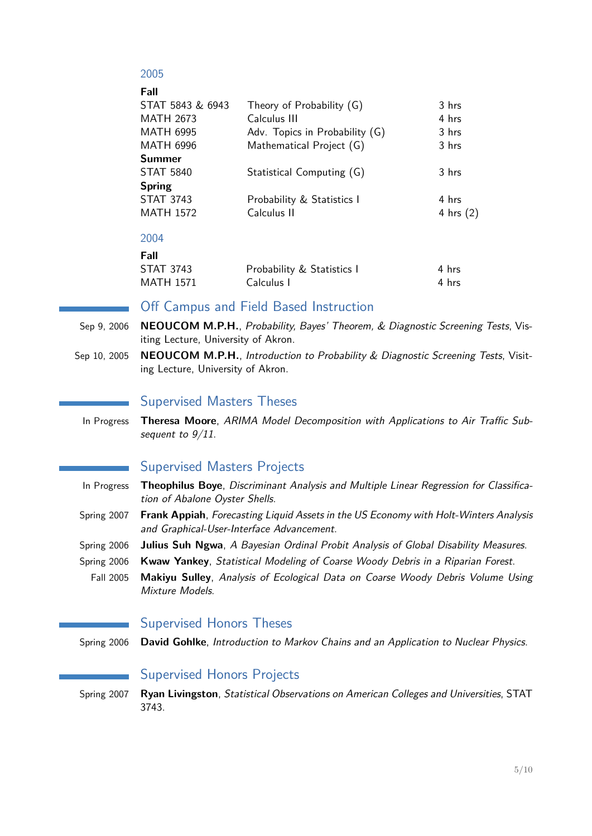## 2005

| Theory of Probability (G)      | 3 hrs       |
|--------------------------------|-------------|
| Calculus III                   | 4 hrs       |
| Adv. Topics in Probability (G) | 3 hrs       |
| Mathematical Project (G)       | 3 hrs       |
|                                |             |
| Statistical Computing (G)      | 3 hrs       |
|                                |             |
| Probability & Statistics I     | 4 hrs       |
| Calculus II                    | 4 hrs $(2)$ |
|                                |             |
|                                |             |

#### 2004

| Fall             |                            |       |
|------------------|----------------------------|-------|
| <b>STAT 3743</b> | Probability & Statistics I | 4 hrs |
| MATH 1571        | Calculus I                 | 4 hrs |

## Off Campus and Field Based Instruction

- Sep 9, 2006 **NEOUCOM M.P.H.**, Probability, Bayes' Theorem, & Diagnostic Screening Tests, Visiting Lecture, University of Akron.
- Sep 10, 2005 **NEOUCOM M.P.H.**, Introduction to Probability & Diagnostic Screening Tests, Visiting Lecture, University of Akron.

#### Supervised Masters Theses

In Progress **Theresa Moore**, ARIMA Model Decomposition with Applications to Air Traffic Subsequent to  $9/11$ .

# Supervised Masters Projects

- In Progress **Theophilus Boye**, Discriminant Analysis and Multiple Linear Regression for Classification of Abalone Oyster Shells.
- Spring 2007 **Frank Appiah**, Forecasting Liquid Assets in the US Economy with Holt-Winters Analysis and Graphical-User-Interface Advancement.
- Spring 2006 **Julius Suh Ngwa**, A Bayesian Ordinal Probit Analysis of Global Disability Measures.
- Spring 2006 **Kwaw Yankey**, Statistical Modeling of Coarse Woody Debris in a Riparian Forest.
	- Fall 2005 **Makiyu Sulley**, Analysis of Ecological Data on Coarse Woody Debris Volume Using Mixture Models.

## Supervised Honors Theses

Spring 2006 **David Gohlke**, Introduction to Markov Chains and an Application to Nuclear Physics.

# Supervised Honors Projects

Spring 2007 **Ryan Livingston**, Statistical Observations on American Colleges and Universities, STAT 3743.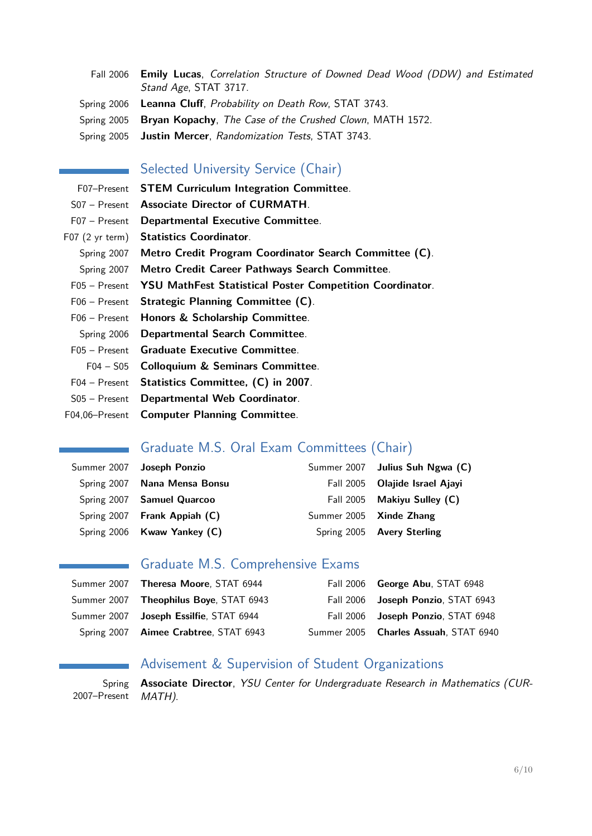Fall 2006 **Emily Lucas**, Correlation Structure of Downed Dead Wood (DDW) and Estimated Stand Age, STAT 3717. Spring 2006 **Leanna Cluff**, Probability on Death Row, STAT 3743. Spring 2005 **Bryan Kopachy**, The Case of the Crushed Clown, MATH 1572. Spring 2005 **Justin Mercer**, Randomization Tests, STAT 3743.

## Selected University Service (Chair)

F07–Present **STEM Curriculum Integration Committee**. S07 – Present **Associate Director of CURMATH**. F07 – Present **Departmental Executive Committee**. F07 (2 yr term) **Statistics Coordinator**. Spring 2007 **Metro Credit Program Coordinator Search Committee (C)**. Spring 2007 **Metro Credit Career Pathways Search Committee**. F05 – Present **YSU MathFest Statistical Poster Competition Coordinator**. F06 – Present **Strategic Planning Committee (C)**. F06 – Present **Honors & Scholarship Committee**. Spring 2006 **Departmental Search Committee**. F05 – Present **Graduate Executive Committee**. F04 – S05 **Colloquium & Seminars Committee**. F04 – Present **Statistics Committee, (C) in 2007**. S05 – Present **Departmental Web Coordinator**.

F04,06–Present **Computer Planning Committee**.

# Graduate M.S. Oral Exam Committees (Chair)

| Summer 2007 Joseph Ponzio    |                         | Summer 2007 Julius Suh Ngwa (C) |
|------------------------------|-------------------------|---------------------------------|
| Spring 2007 Nana Mensa Bonsu |                         | Fall 2005 Olajide Israel Ajayi  |
| Spring 2007 Samuel Quarcoo   |                         | Fall 2005 Makiyu Sulley (C)     |
| Spring 2007 Frank Appiah (C) | Summer 2005 Xinde Zhang |                                 |
| Spring 2006 Kwaw Yankey (C)  |                         | Spring 2005 Avery Sterling      |

# Graduate M.S. Comprehensive Exams

|                                                | Fall 2006 George Abu, STAT 6948       |
|------------------------------------------------|---------------------------------------|
| Summer 2007 Theophilus Boye, STAT 6943         | Fall 2006 Joseph Ponzio, STAT 6943    |
| Summer 2007 <b>Joseph Essilfie</b> , STAT 6944 | Fall 2006 Joseph Ponzio, STAT 6948    |
| Spring 2007 Aimee Crabtree, STAT 6943          | Summer 2005 Charles Assuah, STAT 6940 |

# Advisement & Supervision of Student Organizations

Spring 2007–Present **Associate Director**, YSU Center for Undergraduate Research in Mathematics (CUR-MATH).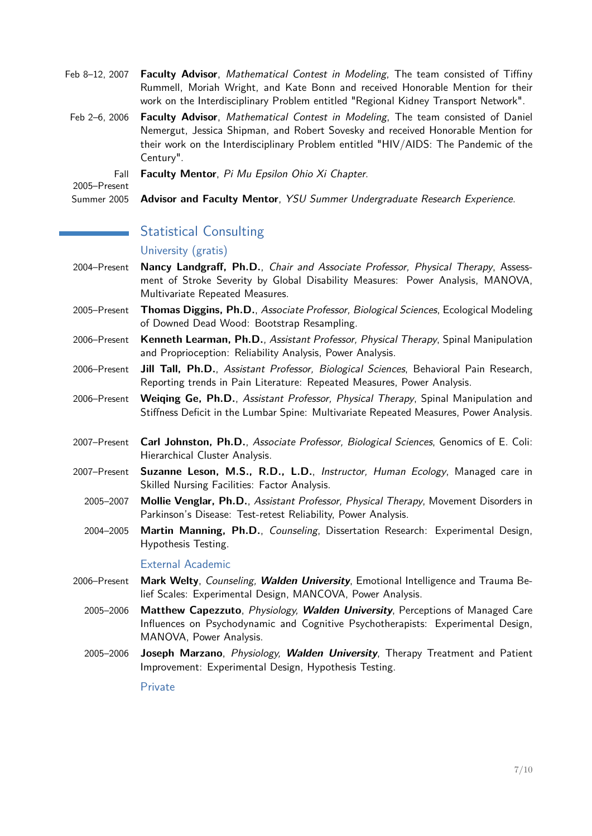- Feb 8–12, 2007 **Faculty Advisor**, Mathematical Contest in Modeling, The team consisted of Tiffiny Rummell, Moriah Wright, and Kate Bonn and received Honorable Mention for their work on the Interdisciplinary Problem entitled "Regional Kidney Transport Network".
- Feb 2–6, 2006 **Faculty Advisor**, Mathematical Contest in Modeling, The team consisted of Daniel Nemergut, Jessica Shipman, and Robert Sovesky and received Honorable Mention for their work on the Interdisciplinary Problem entitled "HIV/AIDS: The Pandemic of the Century".

Fall **Faculty Mentor**, Pi Mu Epsilon Ohio Xi Chapter.

2005–Present

Summer 2005 **Advisor and Faculty Mentor**, YSU Summer Undergraduate Research Experience.

# Statistical Consulting

#### University (gratis)

- 2004–Present **Nancy Landgraff, Ph.D.**, Chair and Associate Professor, Physical Therapy, Assessment of Stroke Severity by Global Disability Measures: Power Analysis, MANOVA, Multivariate Repeated Measures.
- 2005–Present **Thomas Diggins, Ph.D.**, Associate Professor, Biological Sciences, Ecological Modeling of Downed Dead Wood: Bootstrap Resampling.
- 2006–Present **Kenneth Learman, Ph.D.**, Assistant Professor, Physical Therapy, Spinal Manipulation and Proprioception: Reliability Analysis, Power Analysis.
- 2006–Present **Jill Tall, Ph.D.**, Assistant Professor, Biological Sciences, Behavioral Pain Research, Reporting trends in Pain Literature: Repeated Measures, Power Analysis.
- 2006–Present **Weiqing Ge, Ph.D.**, Assistant Professor, Physical Therapy, Spinal Manipulation and Stiffness Deficit in the Lumbar Spine: Multivariate Repeated Measures, Power Analysis.
- 2007–Present **Carl Johnston, Ph.D.**, Associate Professor, Biological Sciences, Genomics of E. Coli: Hierarchical Cluster Analysis.
- 2007–Present **Suzanne Leson, M.S., R.D., L.D.**, Instructor, Human Ecology, Managed care in Skilled Nursing Facilities: Factor Analysis.
	- 2005–2007 **Mollie Venglar, Ph.D.**, Assistant Professor, Physical Therapy, Movement Disorders in Parkinson's Disease: Test-retest Reliability, Power Analysis.
	- 2004–2005 **Martin Manning, Ph.D.**, Counseling, Dissertation Research: Experimental Design, Hypothesis Testing.

#### External Academic

- 2006–Present **Mark Welty**, Counseling, **Walden University**, Emotional Intelligence and Trauma Belief Scales: Experimental Design, MANCOVA, Power Analysis.
	- 2005–2006 **Matthew Capezzuto**, Physiology, **Walden University**, Perceptions of Managed Care Influences on Psychodynamic and Cognitive Psychotherapists: Experimental Design, MANOVA, Power Analysis.
	- 2005–2006 **Joseph Marzano**, Physiology, **Walden University**, Therapy Treatment and Patient Improvement: Experimental Design, Hypothesis Testing.

Private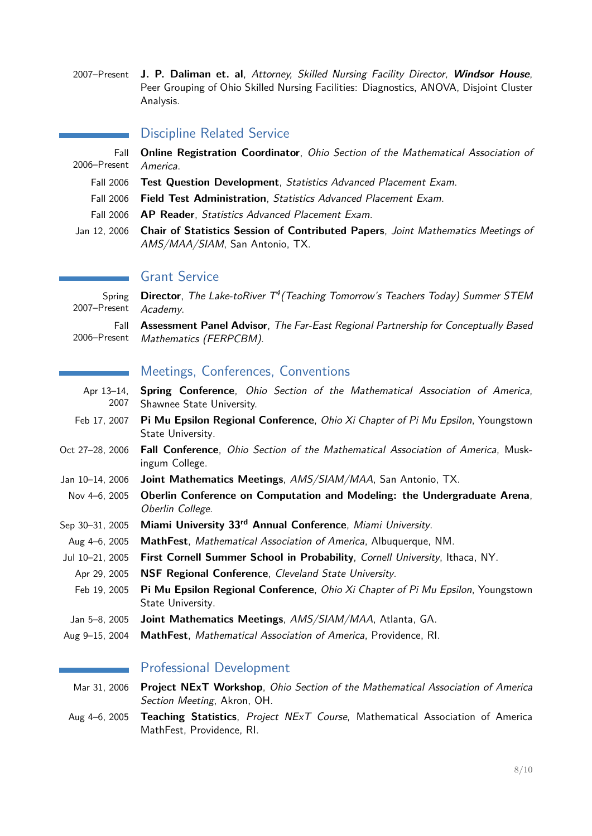2007–Present **J. P. Daliman et. al**, Attorney, Skilled Nursing Facility Director, **Windsor House**, Peer Grouping of Ohio Skilled Nursing Facilities: Diagnostics, ANOVA, Disjoint Cluster Analysis.

#### Discipline Related Service

|              | Fall <b>Online Registration Coordinator</b> , <i>Ohio Section of the Mathematical Association of</i>                      |
|--------------|---------------------------------------------------------------------------------------------------------------------------|
| 2006–Present | America.                                                                                                                  |
| Fall 2006    | <b>Test Question Development</b> , Statistics Advanced Placement Exam.                                                    |
| Fall 2006    | <b>Field Test Administration</b> , Statistics Advanced Placement Exam.                                                    |
|              | Fall 2006 <b>AP Reader</b> , <i>Statistics Advanced Placement Exam.</i>                                                   |
| Jan 12. 2006 | <b>Chair of Statistics Session of Contributed Papers, Joint Mathematics Meetings of</b><br>AMS/MAA/SIAM, San Antonio, TX. |

## Grant Service

Spring 2007–Present **Director**, The Lake-toRiver T<sup>4</sup> (Teaching Tomorrow's Teachers Today) Summer STEM Academy. Fall 2006–Present **Assessment Panel Advisor**, The Far-East Regional Partnership for Conceptually Based Mathematics (FERPCBM).

## Meetings, Conferences, Conventions

- Apr 13–14, 2007 **Spring Conference**, Ohio Section of the Mathematical Association of America, Shawnee State University.
- Feb 17, 2007 **Pi Mu Epsilon Regional Conference**, Ohio Xi Chapter of Pi Mu Epsilon, Youngstown State University.
- Oct 27–28, 2006 **Fall Conference**, Ohio Section of the Mathematical Association of America, Muskingum College.
- Jan 10–14, 2006 **Joint Mathematics Meetings**, AMS/SIAM/MAA, San Antonio, TX.
- Nov 4–6, 2005 **Oberlin Conference on Computation and Modeling: the Undergraduate Arena**, Oberlin College.
- Sep 30–31, 2005 **Miami University 33rd Annual Conference**, Miami University.
- Aug 4–6, 2005 **MathFest**, Mathematical Association of America, Albuquerque, NM.
- Jul 10–21, 2005 **First Cornell Summer School in Probability**, Cornell University, Ithaca, NY.
- Apr 29, 2005 **NSF Regional Conference**, Cleveland State University.
- Feb 19, 2005 **Pi Mu Epsilon Regional Conference**, Ohio Xi Chapter of Pi Mu Epsilon, Youngstown State University.
- Jan 5–8, 2005 **Joint Mathematics Meetings**, AMS/SIAM/MAA, Atlanta, GA.
- Aug 9–15, 2004 **MathFest**, Mathematical Association of America, Providence, RI.

#### Professional Development

- Mar 31, 2006 **Project NExT Workshop**, Ohio Section of the Mathematical Association of America Section Meeting, Akron, OH.
- Aug 4–6, 2005 **Teaching Statistics**, Project NExT Course, Mathematical Association of America MathFest, Providence, RI.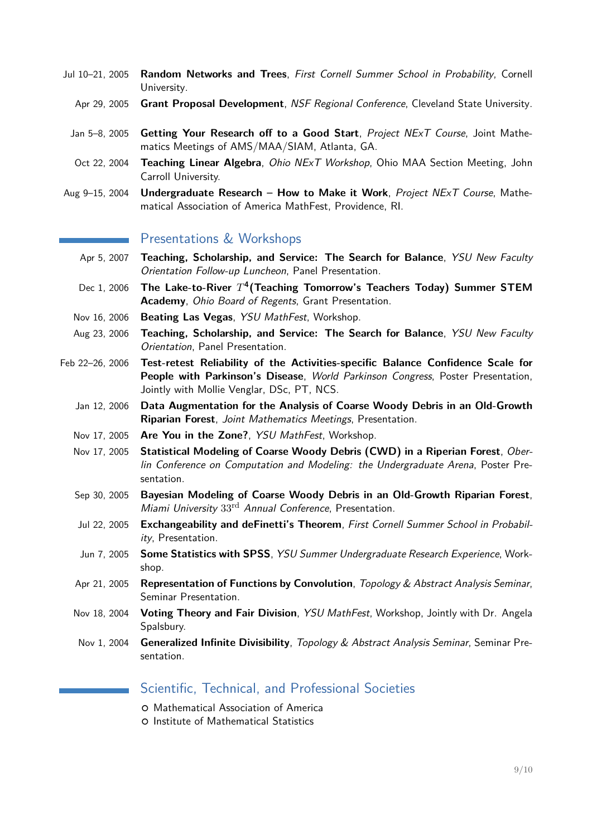- Jul 10–21, 2005 **Random Networks and Trees**, First Cornell Summer School in Probability, Cornell University.
	- Apr 29, 2005 **Grant Proposal Development**, NSF Regional Conference, Cleveland State University.
	- Jan 5–8, 2005 **Getting Your Research off to a Good Start**, Project NExT Course, Joint Mathematics Meetings of AMS/MAA/SIAM, Atlanta, GA.
	- Oct 22, 2004 **Teaching Linear Algebra**, Ohio NExT Workshop, Ohio MAA Section Meeting, John Carroll University.
- Aug 9–15, 2004 **Undergraduate Research How to Make it Work**, Project NExT Course, Mathematical Association of America MathFest, Providence, RI.

## Presentations & Workshops

- Apr 5, 2007 **Teaching, Scholarship, and Service: The Search for Balance**, YSU New Faculty Orientation Follow-up Luncheon, Panel Presentation.
- Dec 1, 2006 The Lake-to-River  $T^4$  (Teaching Tomorrow's Teachers Today) Summer STEM **Academy**, Ohio Board of Regents, Grant Presentation.
- Nov 16, 2006 **Beating Las Vegas**, YSU MathFest, Workshop.
- Aug 23, 2006 **Teaching, Scholarship, and Service: The Search for Balance**, YSU New Faculty Orientation, Panel Presentation.
- Feb 22–26, 2006 **Test-retest Reliability of the Activities-specific Balance Confidence Scale for People with Parkinson's Disease**, World Parkinson Congress, Poster Presentation, Jointly with Mollie Venglar, DSc, PT, NCS.
	- Jan 12, 2006 **Data Augmentation for the Analysis of Coarse Woody Debris in an Old-Growth Riparian Forest**, Joint Mathematics Meetings, Presentation.
	- Nov 17, 2005 **Are You in the Zone?**, YSU MathFest, Workshop.
	- Nov 17, 2005 **Statistical Modeling of Coarse Woody Debris (CWD) in a Riperian Forest**, Oberlin Conference on Computation and Modeling: the Undergraduate Arena, Poster Presentation.
	- Sep 30, 2005 **Bayesian Modeling of Coarse Woody Debris in an Old-Growth Riparian Forest**, Miami University 33rd Annual Conference, Presentation.
	- Jul 22, 2005 **Exchangeability and deFinetti's Theorem**, First Cornell Summer School in Probability, Presentation.
	- Jun 7, 2005 **Some Statistics with SPSS**, YSU Summer Undergraduate Research Experience, Workshop.
	- Apr 21, 2005 **Representation of Functions by Convolution**, Topology & Abstract Analysis Seminar, Seminar Presentation.
	- Nov 18, 2004 **Voting Theory and Fair Division**, YSU MathFest, Workshop, Jointly with Dr. Angela Spalsbury.
	- Nov 1, 2004 **Generalized Infinite Divisibility**, Topology & Abstract Analysis Seminar, Seminar Presentation.

# <span id="page-8-0"></span>Scientific, Technical, and Professional Societies

- { Mathematical Association of America
- { Institute of Mathematical Statistics